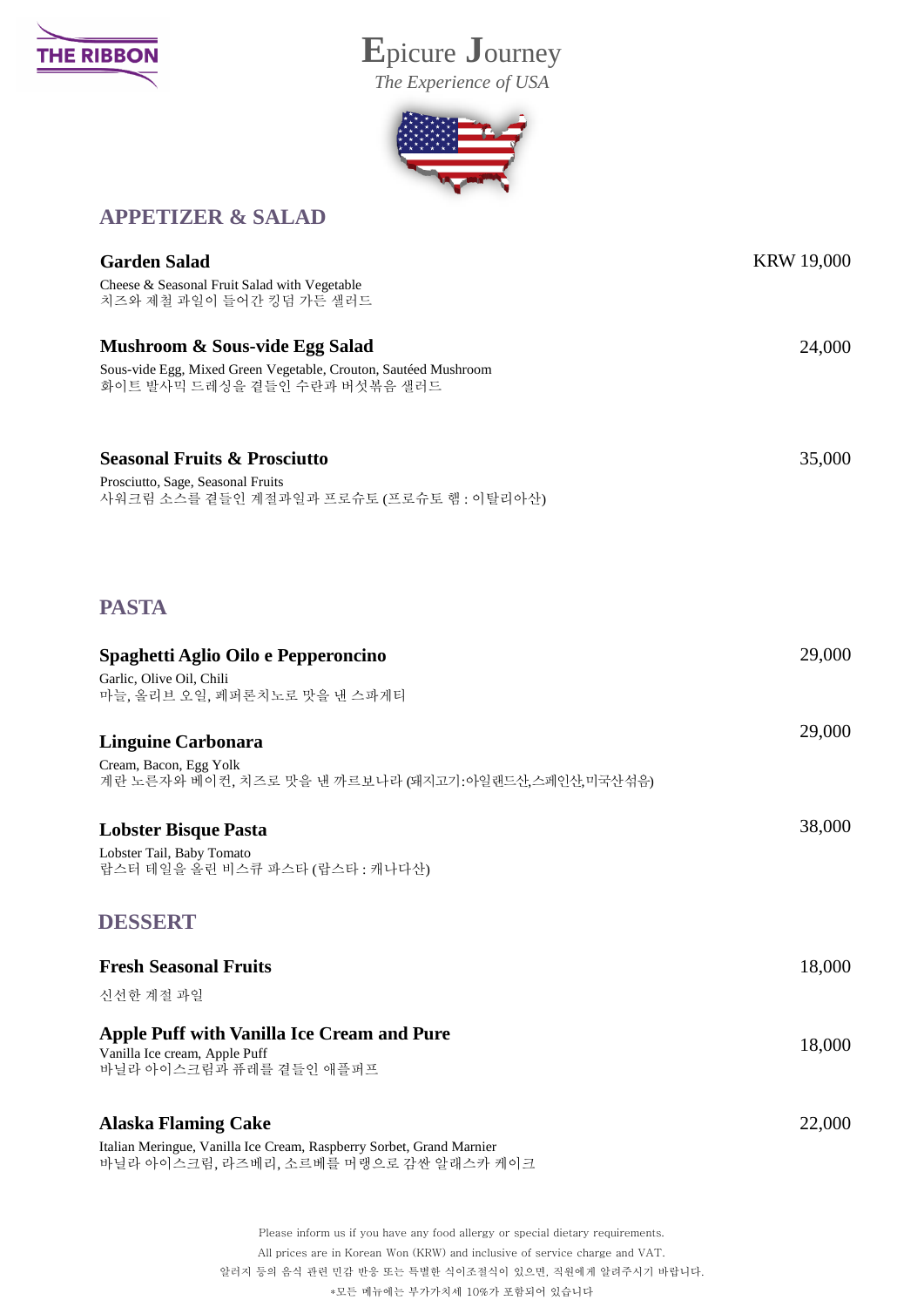

## **E**picure **J**ourney

*The Experience of USA*



## **APPETIZER & SALAD**

| <b>Garden Salad</b>                                                                              | <b>KRW 19,000</b> |
|--------------------------------------------------------------------------------------------------|-------------------|
| Cheese & Seasonal Fruit Salad with Vegetable<br>치즈와 제철 과일이 들어간 킹덤 가든 샐러드                         |                   |
| Mushroom & Sous-vide Egg Salad                                                                   | 24,000            |
| Sous-vide Egg, Mixed Green Vegetable, Crouton, Sautéed Mushroom<br>화이트 발사믹 드레싱을 곁들인 수란과 버섯볶음 샐러드 |                   |
| <b>Seasonal Fruits &amp; Prosciutto</b>                                                          | 35,000            |
| Prosciutto, Sage, Seasonal Fruits<br>사워크림 소스를 곁들인 계절과일과 프로슈토 (프로슈토 햄: 이탈리아산)                     |                   |
| <b>PASTA</b>                                                                                     |                   |
| Spaghetti Aglio Oilo e Pepperoncino                                                              | 29,000            |
| Garlic, Olive Oil, Chili<br>마늘, 올리브 오일, 페퍼론치노로 맛을 낸 스파게티                                         |                   |
| <b>Linguine Carbonara</b>                                                                        | 29,000            |
| Cream, Bacon, Egg Yolk<br>계란 노른자와 베이컨, 치즈로 맛을 낸 까르보나라 (돼지고기:아일랜드산,스페인산,미국산섞음)                    |                   |
| <b>Lobster Bisque Pasta</b>                                                                      | 38,000            |
| Lobster Tail, Baby Tomato<br>랍스터 테일을 올린 비스큐 파스타 (랍스타 : 캐나다산)                                     |                   |
| DESSERT                                                                                          |                   |
| <b>Fresh Seasonal Fruits</b>                                                                     | 18,000            |
| 신선한 계절 과일                                                                                        |                   |
| <b>Apple Puff with Vanilla Ice Cream and Pure</b>                                                | 18,000            |
| Vanilla Ice cream, Apple Puff<br>바닐라 아이스크림과 퓨레를 곁들인 애플퍼프                                         |                   |
| <b>Alaska Flaming Cake</b>                                                                       | 22,000            |
| Italian Meringue, Vanilla Ice Cream, Raspberry Sorbet, Grand Marnier                             |                   |

바닐라 아이스크림, 라즈베리, 소르베를 머랭으로 감싼 알래스카 케이크

Please inform us if you have any food allergy or special dietary requirements. All prices are in Korean Won (KRW) and inclusive of service charge and VAT. 알러지 등의 음식 관련 민감 반응 또는 특별한 식이조절식이 있으면, 직원에게 알려주시기 바랍니다. \*모든 메뉴에는 부가가치세 10%가 포함되어 있습니다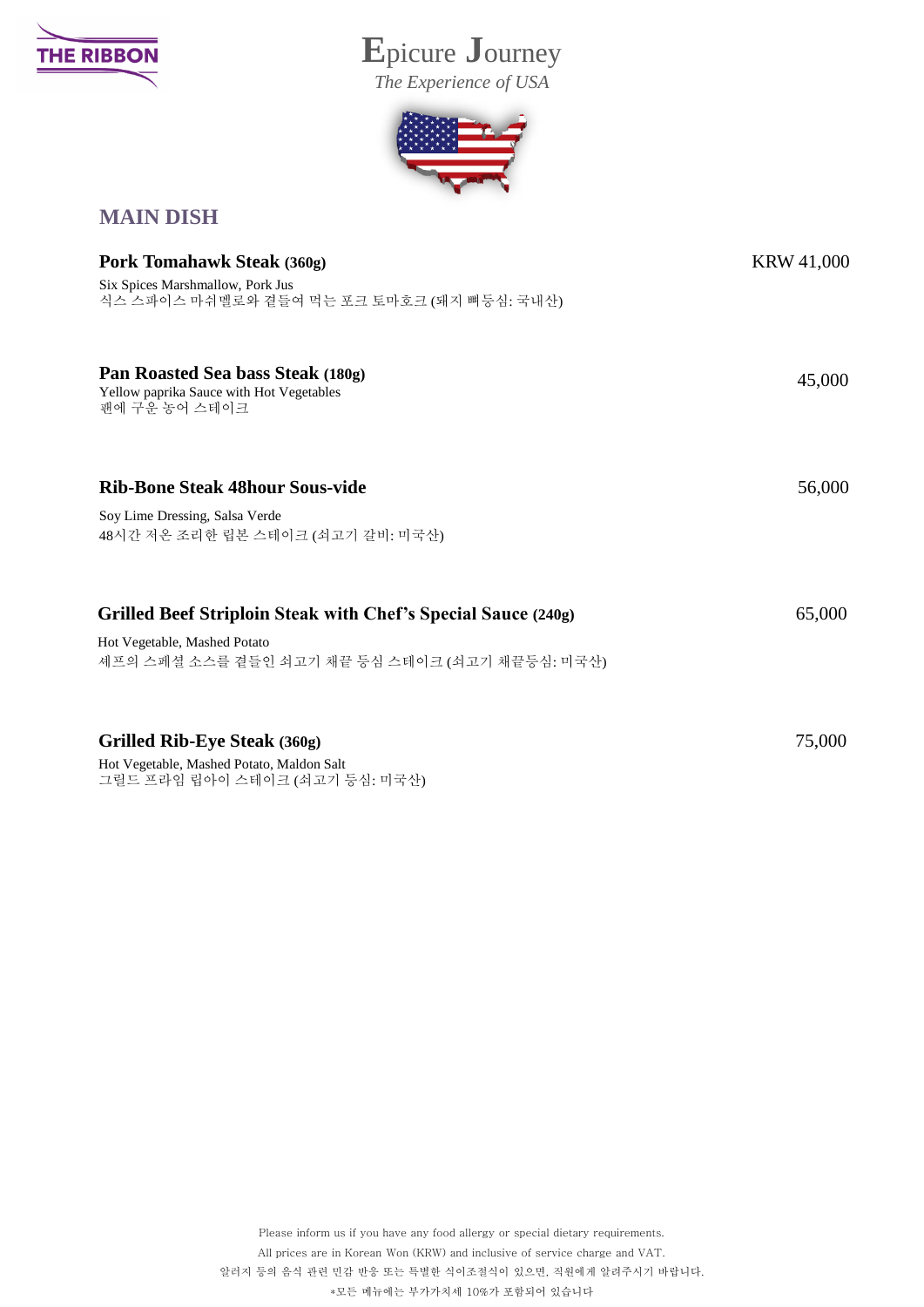

## **E**picure **J**ourney

*The Experience of USA*



## **MAIN DISH**

| Pork Tomahawk Steak (360g)                                                                                                                      | <b>KRW 41,000</b> |
|-------------------------------------------------------------------------------------------------------------------------------------------------|-------------------|
| Six Spices Marshmallow, Pork Jus<br>식스 스파이스 마쉬멜로와 곁들여 먹는 포크 토마호크 (돼지 뼈등심: 국내산)                                                                  |                   |
| Pan Roasted Sea bass Steak (180g)<br>Yellow paprika Sauce with Hot Vegetables<br>팬에 구운 농어 스테이크                                                  | 45,000            |
| <b>Rib-Bone Steak 48hour Sous-vide</b><br>Soy Lime Dressing, Salsa Verde<br>48시간 저온 조리한 립본 스테이크 (쇠고기 갈비: 미국산)                                   | 56,000            |
| Grilled Beef Striploin Steak with Chef's Special Sauce (240g)<br>Hot Vegetable, Mashed Potato<br>셰프의 스페셜 소스를 곁들인 쇠고기 채끝 등심 스테이크 (쇠고기 채끝등심: 미국산) | 65,000            |
| Grilled Rib-Eye Steak (360g)<br>Hot Vegetable, Mashed Potato, Maldon Salt<br>그릴드 프라임 립아이 스테이크 (쇠고기 등심: 미국산)                                     | 75,000            |

Please inform us if you have any food allergy or special dietary requirements. All prices are in Korean Won (KRW) and inclusive of service charge and VAT. 알러지 등의 음식 관련 민감 반응 또는 특별한 식이조절식이 있으면, 직원에게 알려주시기 바랍니다. \*모든 메뉴에는 부가가치세 10%가 포함되어 있습니다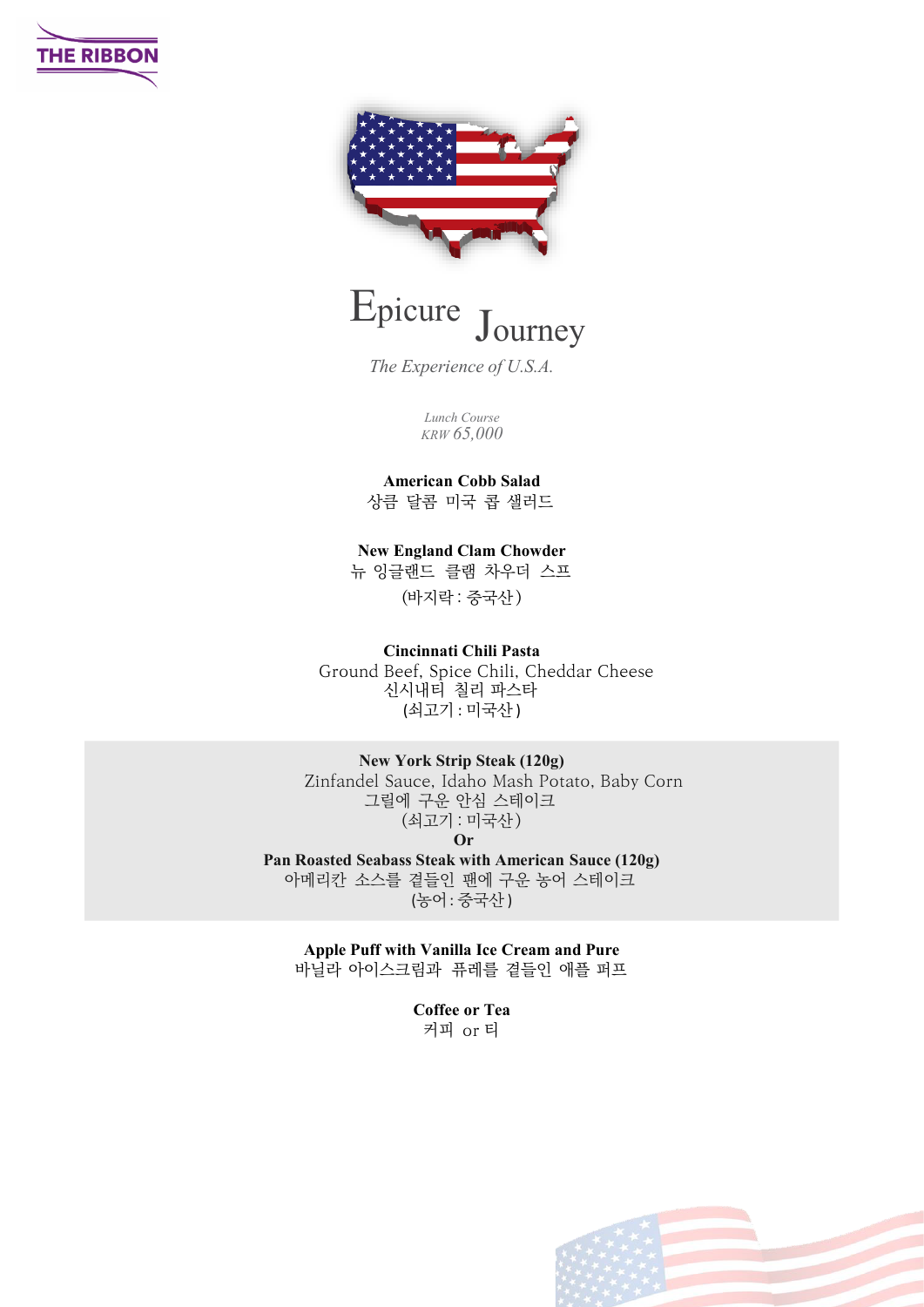





*The Experience of U.S.A.*

*Lunch Course KRW 65,000*

**American Cobb Salad**

상큼 달콤 미국 콥 샐러드

**New England Clam Chowder**

뉴 잉글랜드 클램 차우더 스프 (바지락 : 중국산 )

**Cincinnati Chili Pasta**

Ground Beef, Spice Chili, Cheddar Cheese 신시내티 칠리 파스타 (쇠고기 : 미국산 )

**New York Strip Steak (120g)** Zinfandel Sauce, Idaho Mash Potato, Baby Corn 그릴에 구운 안심 스테이크 (쇠고기 : 미국산 ) **Or**

**Pan Roasted Seabass Steak with American Sauce (120g)** 아메리칸 소스를 곁들인 팬에 구운 농어 스테이크 (농어: 중국산 )

**Apple Puff with Vanilla Ice Cream and Pure** 바닐라 아이스크림과 퓨레를 곁들인 애플 퍼프

> **Coffee or Tea** 커피 or 티